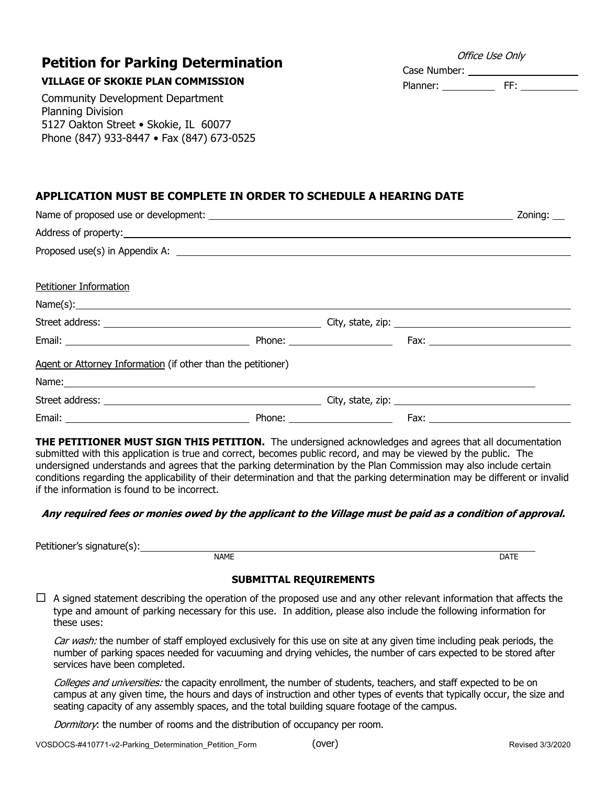## **Petition for Parking Determination**

## **VILLAGE OF SKOKIE PLAN COMMISSION**

Community Development Department Planning Division 5127 Oakton Street • Skokie, IL 60077 Phone (847) 933-8447 • Fax (847) 673-0525

# **APPLICATION MUST BE COMPLETE IN ORDER TO SCHEDULE A HEARING DATE**

| Petitioner Information                                                                                                                                                                                                        |  |  |
|-------------------------------------------------------------------------------------------------------------------------------------------------------------------------------------------------------------------------------|--|--|
| Name(s):                                                                                                                                                                                                                      |  |  |
|                                                                                                                                                                                                                               |  |  |
|                                                                                                                                                                                                                               |  |  |
| Agent or Attorney Information (if other than the petitioner)                                                                                                                                                                  |  |  |
| Name: Name: Name: Name: Name: Name: Name: Name: Name: Name: Name: Name: Name: Name: Name: Name: Name: Name: Name: Name: Name: Name: Name: Name: Name: Name: Name: Name: Name: Name: Name: Name: Name: Name: Name: Name: Name: |  |  |
|                                                                                                                                                                                                                               |  |  |
|                                                                                                                                                                                                                               |  |  |

**THE PETITIONER MUST SIGN THIS PETITION.** The undersigned acknowledges and agrees that all documentation submitted with this application is true and correct, becomes public record, and may be viewed by the public. The undersigned understands and agrees that the parking determination by the Plan Commission may also include certain conditions regarding the applicability of their determination and that the parking determination may be different or invalid if the information is found to be incorrect.

### **Any required fees or monies owed by the applicant to the Village must be paid as a condition of approval.**

Petitioner's signature(s):

NAME DATE DESCRIPTION OF REAL PROPERTY AND LOCAL CONTRACT CONTRACT OF REAL PROPERTY.

#### **SUBMITTAL REQUIREMENTS**

 $\Box$  A signed statement describing the operation of the proposed use and any other relevant information that affects the type and amount of parking necessary for this use. In addition, please also include the following information for these uses:

Car wash: the number of staff employed exclusively for this use on site at any given time including peak periods, the number of parking spaces needed for vacuuming and drying vehicles, the number of cars expected to be stored after services have been completed.

Colleges and universities: the capacity enrollment, the number of students, teachers, and staff expected to be on campus at any given time, the hours and days of instruction and other types of events that typically occur, the size and seating capacity of any assembly spaces, and the total building square footage of the campus.

(over)

Dormitory: the number of rooms and the distribution of occupancy per room.

Office Use Only

Case Number: Planner: FF: